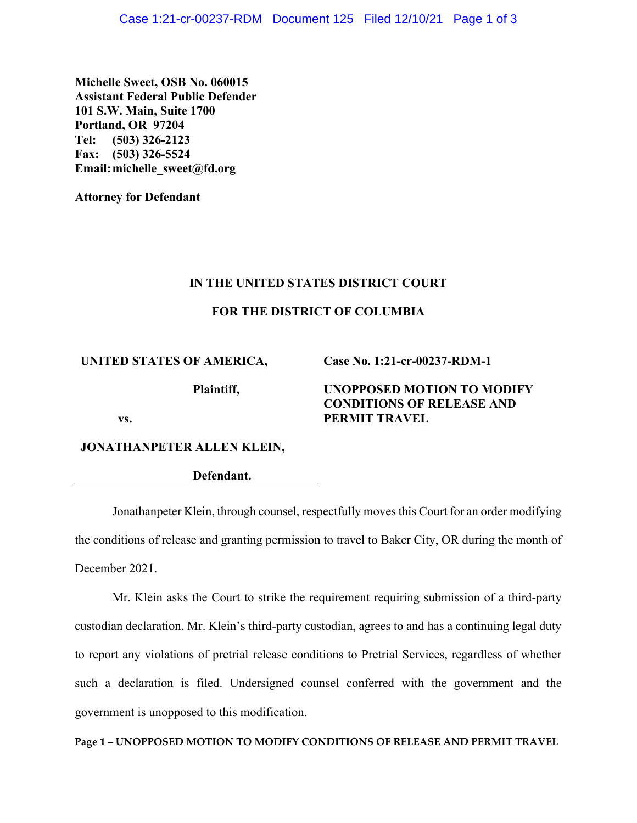**Michelle Sweet, OSB No. 060015 Assistant Federal Public Defender 101 S.W. Main, Suite 1700 Portland, OR 97204 Tel: (503) 326-2123 Fax: (503) 326-5524 Email:michelle\_sweet@fd.org**

**Attorney for Defendant**

## **IN THE UNITED STATES DISTRICT COURT**

## **FOR THE DISTRICT OF COLUMBIA**

#### **UNITED STATES OF AMERICA,**

**Case No. 1:21-cr-00237-RDM-1**

**Plaintiff,**

# **UNOPPOSED MOTION TO MODIFY CONDITIONS OF RELEASE AND PERMIT TRAVEL**

**vs.**

**JONATHANPETER ALLEN KLEIN,**

**Defendant.**

Jonathanpeter Klein, through counsel, respectfully moves this Court for an order modifying the conditions of release and granting permission to travel to Baker City, OR during the month of December 2021.

Mr. Klein asks the Court to strike the requirement requiring submission of a third-party custodian declaration. Mr. Klein's third-party custodian, agrees to and has a continuing legal duty to report any violations of pretrial release conditions to Pretrial Services, regardless of whether such a declaration is filed. Undersigned counsel conferred with the government and the government is unopposed to this modification.

**Page 1 – UNOPPOSED MOTION TO MODIFY CONDITIONS OF RELEASE AND PERMIT TRAVEL**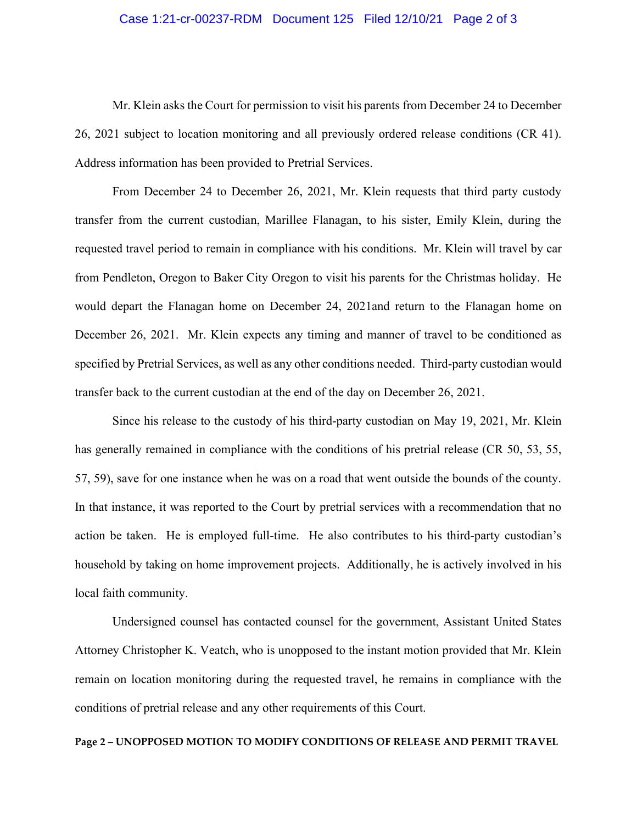## Case 1:21-cr-00237-RDM Document 125 Filed 12/10/21 Page 2 of 3

Mr. Klein asks the Court for permission to visit his parents from December 24 to December 26, 2021 subject to location monitoring and all previously ordered release conditions (CR 41). Address information has been provided to Pretrial Services.

From December 24 to December 26, 2021, Mr. Klein requests that third party custody transfer from the current custodian, Marillee Flanagan, to his sister, Emily Klein, during the requested travel period to remain in compliance with his conditions. Mr. Klein will travel by car from Pendleton, Oregon to Baker City Oregon to visit his parents for the Christmas holiday. He would depart the Flanagan home on December 24, 2021and return to the Flanagan home on December 26, 2021. Mr. Klein expects any timing and manner of travel to be conditioned as specified by Pretrial Services, as well as any other conditions needed. Third-party custodian would transfer back to the current custodian at the end of the day on December 26, 2021.

Since his release to the custody of his third-party custodian on May 19, 2021, Mr. Klein has generally remained in compliance with the conditions of his pretrial release (CR 50, 53, 55, 57, 59), save for one instance when he was on a road that went outside the bounds of the county. In that instance, it was reported to the Court by pretrial services with a recommendation that no action be taken. He is employed full-time. He also contributes to his third-party custodian's household by taking on home improvement projects. Additionally, he is actively involved in his local faith community.

Undersigned counsel has contacted counsel for the government, Assistant United States Attorney Christopher K. Veatch, who is unopposed to the instant motion provided that Mr. Klein remain on location monitoring during the requested travel, he remains in compliance with the conditions of pretrial release and any other requirements of this Court.

#### **Page 2 – UNOPPOSED MOTION TO MODIFY CONDITIONS OF RELEASE AND PERMIT TRAVEL**